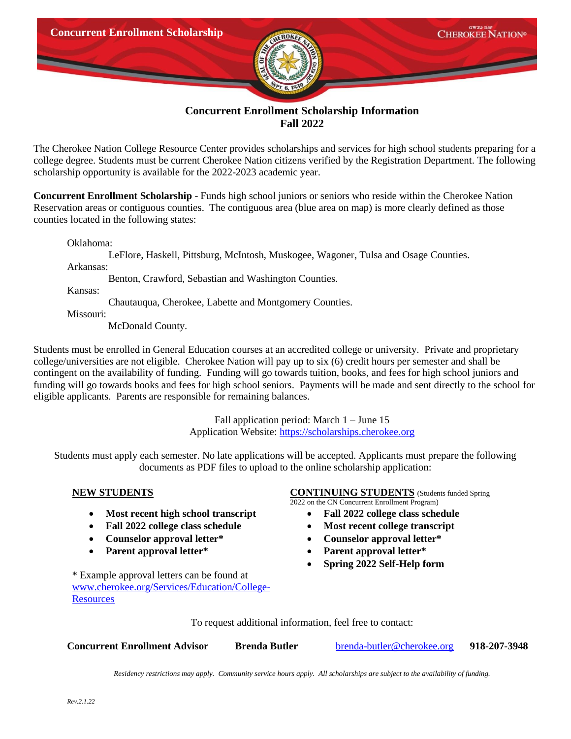

## **Concurrent Enrollment Scholarship Information Fall 2022**

The Cherokee Nation College Resource Center provides scholarships and services for high school students preparing for a college degree. Students must be current Cherokee Nation citizens verified by the Registration Department. The following scholarship opportunity is available for the 2022-2023 academic year.

**Concurrent Enrollment Scholarship** - Funds high school juniors or seniors who reside within the Cherokee Nation Reservation areas or contiguous counties. The contiguous area (blue area on map) is more clearly defined as those counties located in the following states:

Oklahoma:

LeFlore, Haskell, Pittsburg, McIntosh, Muskogee, Wagoner, Tulsa and Osage Counties.

Arkansas:

Benton, Crawford, Sebastian and Washington Counties.

Kansas:

Chautauqua, Cherokee, Labette and Montgomery Counties.

Missouri:

McDonald County.

Students must be enrolled in General Education courses at an accredited college or university. Private and proprietary college/universities are not eligible. Cherokee Nation will pay up to six (6) credit hours per semester and shall be contingent on the availability of funding. Funding will go towards tuition, books, and fees for high school juniors and funding will go towards books and fees for high school seniors. Payments will be made and sent directly to the school for eligible applicants. Parents are responsible for remaining balances.

> Fall application period: March 1 – June 15 Application Website: [https://scholarships.cherokee.org](https://scholarships.cherokee.org/)

Students must apply each semester. No late applications will be accepted. Applicants must prepare the following documents as PDF files to upload to the online scholarship application:

- **Most recent high school transcript Fall 2022 college class schedule**
- Fall 2022 college class schedule **•** Most recent college transcript
- **Counselor approval letter\* Counselor approval letter\***
- **Parent approval letter\* Parent approval letter\***

\* Example approval letters can be found at [www.cherokee.org/Services/Education/College-](http://www.cherokee.org/Services/Education/College-Resources)**[Resources](http://www.cherokee.org/Services/Education/College-Resources)** 

## **NEW STUDENTS CONTINUING STUDENTS** (Students funded Spring

2022 on the CN Concurrent Enrollment Program)

- 
- 
- 
- 
- **Spring 2022 Self-Help form**

To request additional information, feel free to contact:

**Concurrent Enrollment Advisor Brenda Butler** [brenda-butler@cherokee.org](mailto:brenda-butler@cherokee.org) **918-207-3948**

*Residency restrictions may apply. Community service hours apply. All scholarships are subject to the availability of funding.*